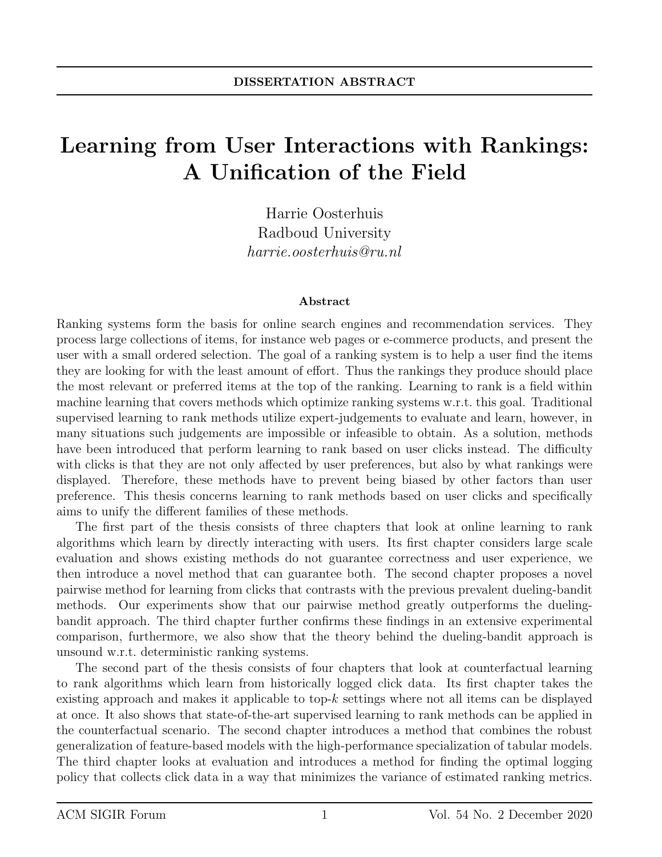## Learning from User Interactions with Rankings: A Unification of the Field

Harrie Oosterhuis Radboud University harrie.oosterhuis@ru.nl

## Abstract

Ranking systems form the basis for online search engines and recommendation services. They process large collections of items, for instance web pages or e-commerce products, and present the user with a small ordered selection. The goal of a ranking system is to help a user find the items they are looking for with the least amount of effort. Thus the rankings they produce should place the most relevant or preferred items at the top of the ranking. Learning to rank is a field within machine learning that covers methods which optimize ranking systems w.r.t. this goal. Traditional supervised learning to rank methods utilize expert-judgements to evaluate and learn, however, in many situations such judgements are impossible or infeasible to obtain. As a solution, methods have been introduced that perform learning to rank based on user clicks instead. The difficulty with clicks is that they are not only affected by user preferences, but also by what rankings were displayed. Therefore, these methods have to prevent being biased by other factors than user preference. This thesis concerns learning to rank methods based on user clicks and specifically aims to unify the different families of these methods.

The first part of the thesis consists of three chapters that look at online learning to rank algorithms which learn by directly interacting with users. Its first chapter considers large scale evaluation and shows existing methods do not guarantee correctness and user experience, we then introduce a novel method that can guarantee both. The second chapter proposes a novel pairwise method for learning from clicks that contrasts with the previous prevalent dueling-bandit methods. Our experiments show that our pairwise method greatly outperforms the duelingbandit approach. The third chapter further confirms these findings in an extensive experimental comparison, furthermore, we also show that the theory behind the dueling-bandit approach is unsound w.r.t. deterministic ranking systems.

The second part of the thesis consists of four chapters that look at counterfactual learning to rank algorithms which learn from historically logged click data. Its first chapter takes the existing approach and makes it applicable to top- $k$  settings where not all items can be displayed at once. It also shows that state-of-the-art supervised learning to rank methods can be applied in the counterfactual scenario. The second chapter introduces a method that combines the robust generalization of feature-based models with the high-performance specialization of tabular models. The third chapter looks at evaluation and introduces a method for finding the optimal logging policy that collects click data in a way that minimizes the variance of estimated ranking metrics.